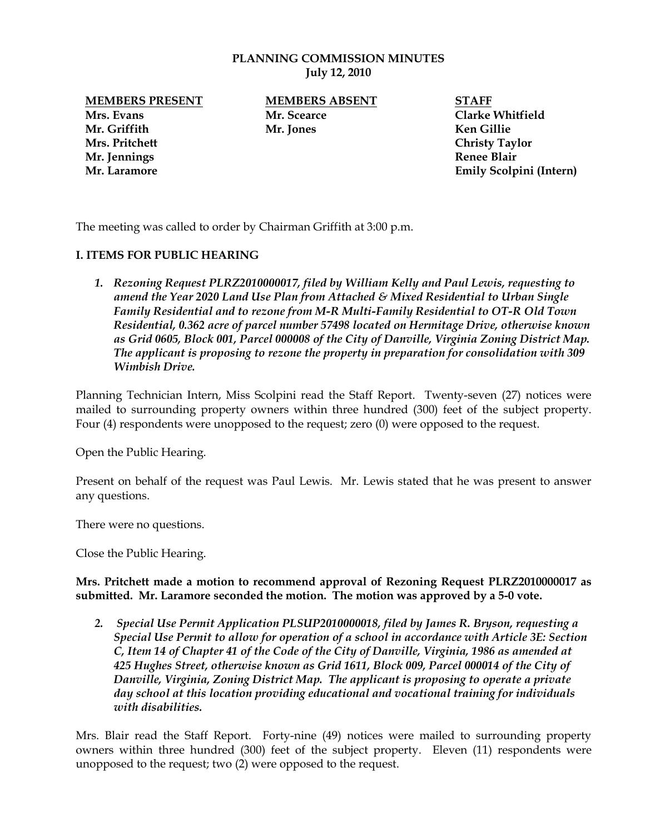#### **PLANNING COMMISSION MINUTES July 12, 2010**

**Mrs. Evans Mr. Scearce Clarke Whitfield Mr. Griffith Mr. Jones Ken Gillie Mrs. Pritchett Christy Taylor Mr. Jennings Renee Blair**

**MEMBERS PRESENT MEMBERS ABSENT STAFF**

**Mr. Laramore Emily Scolpini (Intern)**

The meeting was called to order by Chairman Griffith at 3:00 p.m.

## **I. ITEMS FOR PUBLIC HEARING**

*1. Rezoning Request PLRZ2010000017, filed by William Kelly and Paul Lewis, requesting to amend the Year 2020 Land Use Plan from Attached & Mixed Residential to Urban Single Family Residential and to rezone from M-R Multi-Family Residential to OT-R Old Town Residential, 0.362 acre of parcel number 57498 located on Hermitage Drive, otherwise known as Grid 0605, Block 001, Parcel 000008 of the City of Danville, Virginia Zoning District Map. The applicant is proposing to rezone the property in preparation for consolidation with 309 Wimbish Drive.*

Planning Technician Intern, Miss Scolpini read the Staff Report. Twenty-seven (27) notices were mailed to surrounding property owners within three hundred (300) feet of the subject property. Four (4) respondents were unopposed to the request; zero (0) were opposed to the request.

Open the Public Hearing.

Present on behalf of the request was Paul Lewis. Mr. Lewis stated that he was present to answer any questions.

There were no questions.

Close the Public Hearing.

**Mrs. Pritchett made a motion to recommend approval of Rezoning Request PLRZ2010000017 as submitted. Mr. Laramore seconded the motion. The motion was approved by a 5-0 vote.** 

*2. Special Use Permit Application PLSUP2010000018, filed by James R. Bryson, requesting a Special Use Permit to allow for operation of a school in accordance with Article 3E: Section C, Item 14 of Chapter 41 of the Code of the City of Danville, Virginia, 1986 as amended at 425 Hughes Street, otherwise known as Grid 1611, Block 009, Parcel 000014 of the City of Danville, Virginia, Zoning District Map. The applicant is proposing to operate a private day school at this location providing educational and vocational training for individuals with disabilities.* 

Mrs. Blair read the Staff Report. Forty-nine (49) notices were mailed to surrounding property owners within three hundred (300) feet of the subject property. Eleven (11) respondents were unopposed to the request; two (2) were opposed to the request.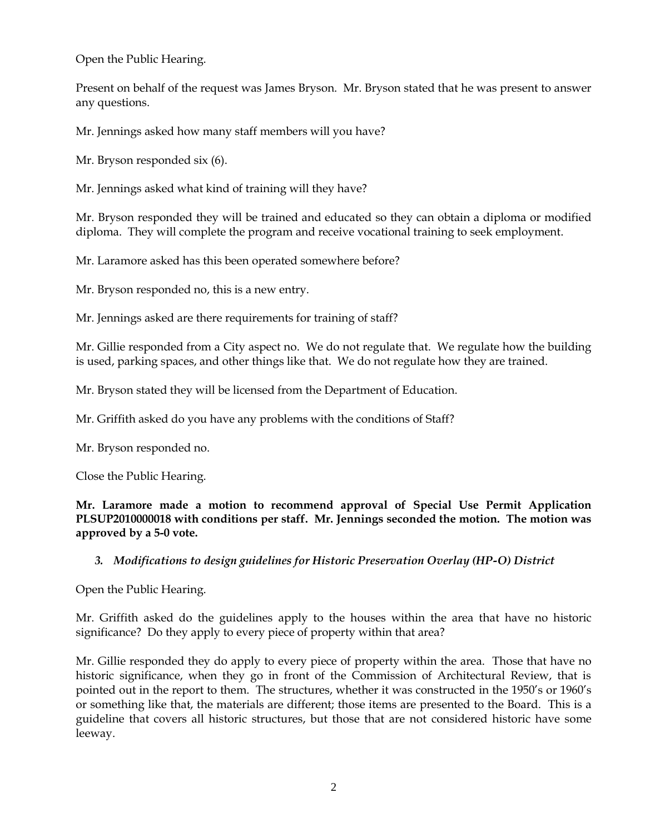Open the Public Hearing.

Present on behalf of the request was James Bryson. Mr. Bryson stated that he was present to answer any questions.

Mr. Jennings asked how many staff members will you have?

Mr. Bryson responded six (6).

Mr. Jennings asked what kind of training will they have?

Mr. Bryson responded they will be trained and educated so they can obtain a diploma or modified diploma. They will complete the program and receive vocational training to seek employment.

Mr. Laramore asked has this been operated somewhere before?

Mr. Bryson responded no, this is a new entry.

Mr. Jennings asked are there requirements for training of staff?

Mr. Gillie responded from a City aspect no. We do not regulate that. We regulate how the building is used, parking spaces, and other things like that. We do not regulate how they are trained.

Mr. Bryson stated they will be licensed from the Department of Education.

Mr. Griffith asked do you have any problems with the conditions of Staff?

Mr. Bryson responded no.

Close the Public Hearing.

**Mr. Laramore made a motion to recommend approval of Special Use Permit Application PLSUP2010000018 with conditions per staff. Mr. Jennings seconded the motion. The motion was approved by a 5-0 vote.** 

#### *3. Modifications to design guidelines for Historic Preservation Overlay (HP-O) District*

Open the Public Hearing.

Mr. Griffith asked do the guidelines apply to the houses within the area that have no historic significance? Do they apply to every piece of property within that area?

Mr. Gillie responded they do apply to every piece of property within the area. Those that have no historic significance, when they go in front of the Commission of Architectural Review, that is pointed out in the report to them. The structures, whether it was constructed in the 1950's or 1960's or something like that, the materials are different; those items are presented to the Board. This is a guideline that covers all historic structures, but those that are not considered historic have some leeway.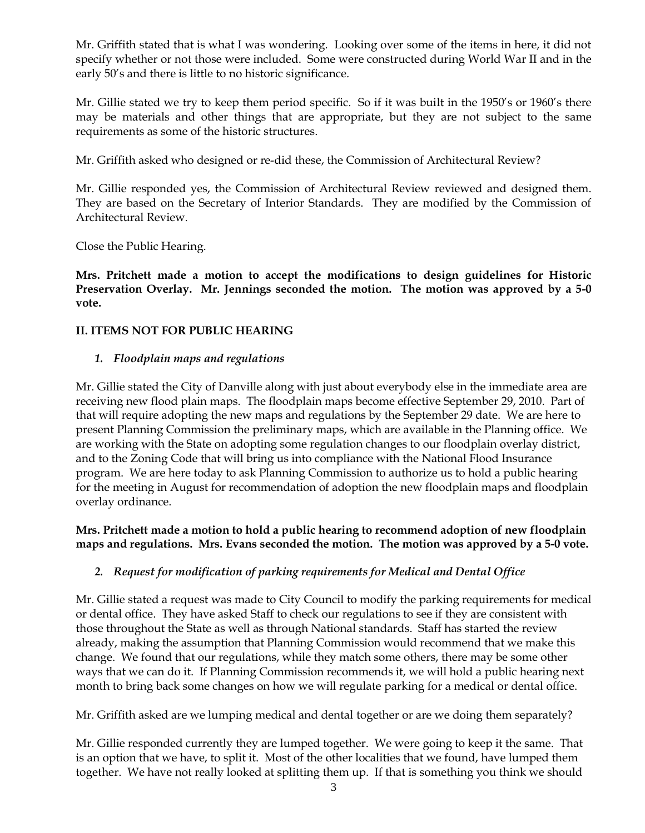Mr. Griffith stated that is what I was wondering. Looking over some of the items in here, it did not specify whether or not those were included. Some were constructed during World War II and in the early 50's and there is little to no historic significance.

Mr. Gillie stated we try to keep them period specific. So if it was built in the 1950's or 1960's there may be materials and other things that are appropriate, but they are not subject to the same requirements as some of the historic structures.

Mr. Griffith asked who designed or re-did these, the Commission of Architectural Review?

Mr. Gillie responded yes, the Commission of Architectural Review reviewed and designed them. They are based on the Secretary of Interior Standards. They are modified by the Commission of Architectural Review.

Close the Public Hearing.

**Mrs. Pritchett made a motion to accept the modifications to design guidelines for Historic Preservation Overlay. Mr. Jennings seconded the motion. The motion was approved by a 5-0 vote.** 

# **II. ITEMS NOT FOR PUBLIC HEARING**

## *1. Floodplain maps and regulations*

Mr. Gillie stated the City of Danville along with just about everybody else in the immediate area are receiving new flood plain maps. The floodplain maps become effective September 29, 2010. Part of that will require adopting the new maps and regulations by the September 29 date. We are here to present Planning Commission the preliminary maps, which are available in the Planning office. We are working with the State on adopting some regulation changes to our floodplain overlay district, and to the Zoning Code that will bring us into compliance with the National Flood Insurance program. We are here today to ask Planning Commission to authorize us to hold a public hearing for the meeting in August for recommendation of adoption the new floodplain maps and floodplain overlay ordinance.

## **Mrs. Pritchett made a motion to hold a public hearing to recommend adoption of new floodplain maps and regulations. Mrs. Evans seconded the motion. The motion was approved by a 5-0 vote.**

# *2. Request for modification of parking requirements for Medical and Dental Office*

Mr. Gillie stated a request was made to City Council to modify the parking requirements for medical or dental office. They have asked Staff to check our regulations to see if they are consistent with those throughout the State as well as through National standards. Staff has started the review already, making the assumption that Planning Commission would recommend that we make this change. We found that our regulations, while they match some others, there may be some other ways that we can do it. If Planning Commission recommends it, we will hold a public hearing next month to bring back some changes on how we will regulate parking for a medical or dental office.

Mr. Griffith asked are we lumping medical and dental together or are we doing them separately?

Mr. Gillie responded currently they are lumped together. We were going to keep it the same. That is an option that we have, to split it. Most of the other localities that we found, have lumped them together. We have not really looked at splitting them up. If that is something you think we should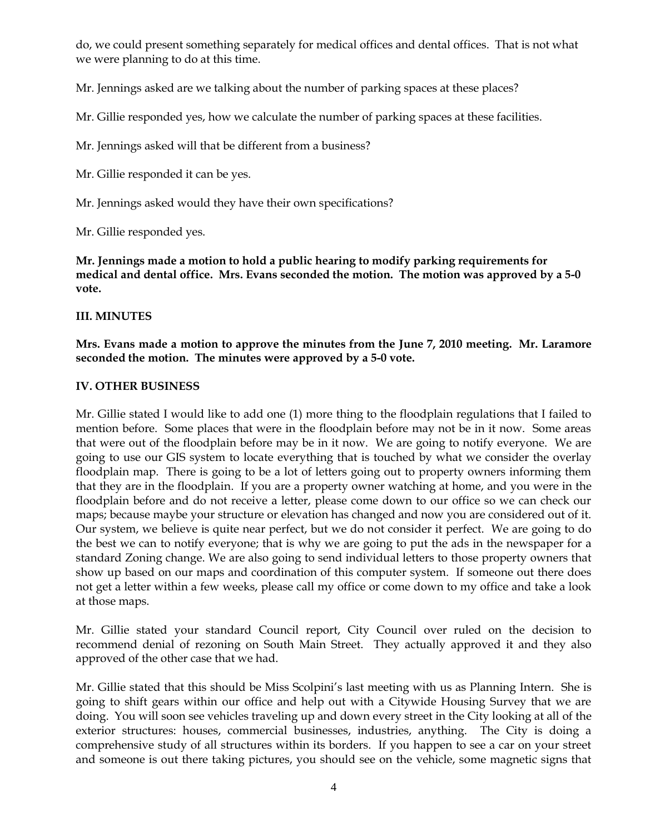do, we could present something separately for medical offices and dental offices. That is not what we were planning to do at this time.

Mr. Jennings asked are we talking about the number of parking spaces at these places?

Mr. Gillie responded yes, how we calculate the number of parking spaces at these facilities.

Mr. Jennings asked will that be different from a business?

Mr. Gillie responded it can be yes.

Mr. Jennings asked would they have their own specifications?

Mr. Gillie responded yes.

**Mr. Jennings made a motion to hold a public hearing to modify parking requirements for medical and dental office. Mrs. Evans seconded the motion. The motion was approved by a 5-0 vote.**

#### **III. MINUTES**

**Mrs. Evans made a motion to approve the minutes from the June 7, 2010 meeting. Mr. Laramore seconded the motion. The minutes were approved by a 5-0 vote.**

#### **IV. OTHER BUSINESS**

Mr. Gillie stated I would like to add one (1) more thing to the floodplain regulations that I failed to mention before. Some places that were in the floodplain before may not be in it now. Some areas that were out of the floodplain before may be in it now. We are going to notify everyone. We are going to use our GIS system to locate everything that is touched by what we consider the overlay floodplain map. There is going to be a lot of letters going out to property owners informing them that they are in the floodplain. If you are a property owner watching at home, and you were in the floodplain before and do not receive a letter, please come down to our office so we can check our maps; because maybe your structure or elevation has changed and now you are considered out of it. Our system, we believe is quite near perfect, but we do not consider it perfect. We are going to do the best we can to notify everyone; that is why we are going to put the ads in the newspaper for a standard Zoning change. We are also going to send individual letters to those property owners that show up based on our maps and coordination of this computer system. If someone out there does not get a letter within a few weeks, please call my office or come down to my office and take a look at those maps.

Mr. Gillie stated your standard Council report, City Council over ruled on the decision to recommend denial of rezoning on South Main Street. They actually approved it and they also approved of the other case that we had.

Mr. Gillie stated that this should be Miss Scolpini's last meeting with us as Planning Intern. She is going to shift gears within our office and help out with a Citywide Housing Survey that we are doing. You will soon see vehicles traveling up and down every street in the City looking at all of the exterior structures: houses, commercial businesses, industries, anything. The City is doing a comprehensive study of all structures within its borders. If you happen to see a car on your street and someone is out there taking pictures, you should see on the vehicle, some magnetic signs that